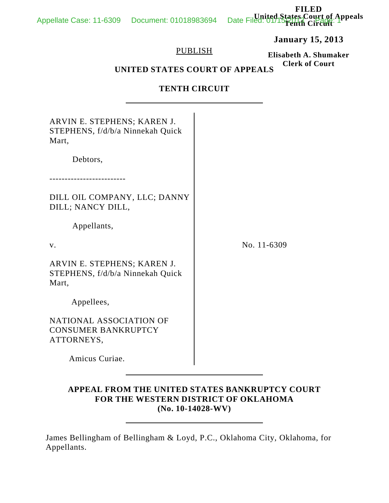**January 15, 2013**

## PUBLISH

**Elisabeth A. Shumaker Clerk of Court**

# **UNITED STATES COURT OF APPEALS**

## **TENTH CIRCUIT**

| ARVIN E. STEPHENS; KAREN J.<br>STEPHENS, f/d/b/a Ninnekah Quick<br>Mart,<br>Debtors, |             |
|--------------------------------------------------------------------------------------|-------------|
| DILL OIL COMPANY, LLC; DANNY<br>DILL; NANCY DILL,                                    |             |
| Appellants,                                                                          |             |
| $V_{\cdot}$                                                                          | No. 11-6309 |
| ARVIN E. STEPHENS; KAREN J.<br>STEPHENS, f/d/b/a Ninnekah Quick<br>Mart,             |             |
| Appellees,                                                                           |             |
| NATIONAL ASSOCIATION OF<br><b>CONSUMER BANKRUPTCY</b><br>ATTORNEYS,                  |             |
| Amicus Curiae.                                                                       |             |
|                                                                                      |             |

## **APPEAL FROM THE UNITED STATES BANKRUPTCY COURT FOR THE WESTERN DISTRICT OF OKLAHOMA (No. 10-14028-WV)**

James Bellingham of Bellingham & Loyd, P.C., Oklahoma City, Oklahoma, for Appellants.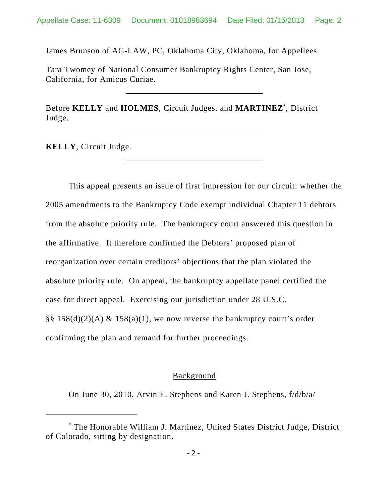James Brunson of AG-LAW, PC, Oklahoma City, Oklahoma, for Appellees.

Tara Twomey of National Consumer Bankruptcy Rights Center, San Jose, California, for Amicus Curiae.

Before **KELLY** and **HOLMES**, Circuit Judges, and **MARTINEZ\*** , District Judge.

**KELLY**, Circuit Judge.

This appeal presents an issue of first impression for our circuit: whether the 2005 amendments to the Bankruptcy Code exempt individual Chapter 11 debtors from the absolute priority rule. The bankruptcy court answered this question in the affirmative. It therefore confirmed the Debtors' proposed plan of reorganization over certain creditors' objections that the plan violated the absolute priority rule. On appeal, the bankruptcy appellate panel certified the case for direct appeal. Exercising our jurisdiction under 28 U.S.C. §§ 158(d)(2)(A)  $\&$  158(a)(1), we now reverse the bankruptcy court's order confirming the plan and remand for further proceedings.

#### **Background**

On June 30, 2010, Arvin E. Stephens and Karen J. Stephens, f/d/b/a/

<sup>\*</sup> The Honorable William J. Martinez, United States District Judge, District of Colorado, sitting by designation.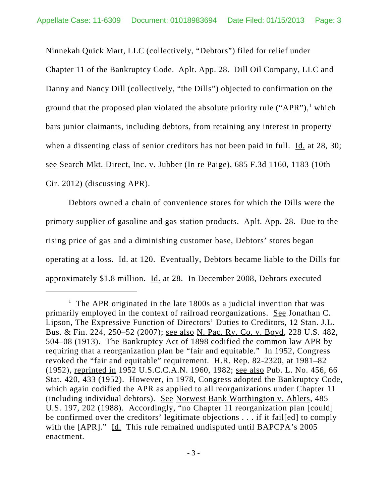Ninnekah Quick Mart, LLC (collectively, "Debtors") filed for relief under Chapter 11 of the Bankruptcy Code. Aplt. App. 28. Dill Oil Company, LLC and Danny and Nancy Dill (collectively, "the Dills") objected to confirmation on the ground that the proposed plan violated the absolute priority rule ("APR"),<sup>1</sup> which bars junior claimants, including debtors, from retaining any interest in property when a dissenting class of senior creditors has not been paid in full. Id. at 28, 30; see Search Mkt. Direct, Inc. v. Jubber (In re Paige), 685 F.3d 1160, 1183 (10th Cir. 2012) (discussing APR).

Debtors owned a chain of convenience stores for which the Dills were the primary supplier of gasoline and gas station products. Aplt. App. 28. Due to the rising price of gas and a diminishing customer base, Debtors' stores began operating at a loss. Id. at 120. Eventually, Debtors became liable to the Dills for approximately \$1.8 million. Id. at 28. In December 2008, Debtors executed

<sup>&</sup>lt;sup>1</sup> The APR originated in the late  $1800s$  as a judicial invention that was primarily employed in the context of railroad reorganizations. See Jonathan C. Lipson, The Expressive Function of Directors' Duties to Creditors, 12 Stan. J.L. Bus. & Fin. 224, 250–52 (2007); see also N. Pac. Ry. Co. v. Boyd, 228 U.S. 482, 504–08 (1913). The Bankruptcy Act of 1898 codified the common law APR by requiring that a reorganization plan be "fair and equitable." In 1952, Congress revoked the "fair and equitable" requirement. H.R. Rep. 82-2320, at 1981–82 (1952), reprinted in 1952 U.S.C.C.A.N. 1960, 1982; see also Pub. L. No. 456, 66 Stat. 420, 433 (1952). However, in 1978, Congress adopted the Bankruptcy Code, which again codified the APR as applied to all reorganizations under Chapter 11 (including individual debtors). See Norwest Bank Worthington v. Ahlers, 485 U.S. 197, 202 (1988). Accordingly, "no Chapter 11 reorganization plan [could] be confirmed over the creditors' legitimate objections . . . if it fail[ed] to comply with the [APR]." Id. This rule remained undisputed until BAPCPA's 2005 enactment.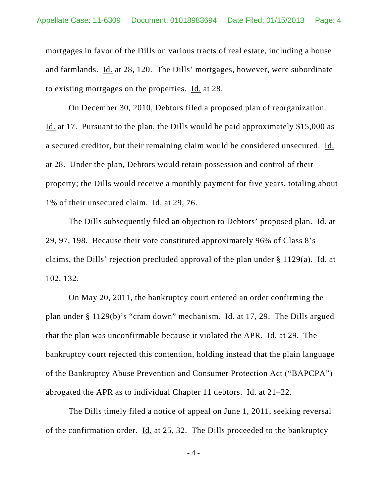mortgages in favor of the Dills on various tracts of real estate, including a house and farmlands. Id. at 28, 120. The Dills' mortgages, however, were subordinate to existing mortgages on the properties. Id. at 28.

On December 30, 2010, Debtors filed a proposed plan of reorganization. Id. at 17. Pursuant to the plan, the Dills would be paid approximately \$15,000 as a secured creditor, but their remaining claim would be considered unsecured. Id. at 28. Under the plan, Debtors would retain possession and control of their property; the Dills would receive a monthly payment for five years, totaling about 1% of their unsecured claim. Id. at 29, 76.

The Dills subsequently filed an objection to Debtors' proposed plan. Id. at 29, 97, 198. Because their vote constituted approximately 96% of Class 8's claims, the Dills' rejection precluded approval of the plan under § 1129(a). Id. at 102, 132.

On May 20, 2011, the bankruptcy court entered an order confirming the plan under § 1129(b)'s "cram down" mechanism. Id. at 17, 29. The Dills argued that the plan was unconfirmable because it violated the APR. Id. at 29. The bankruptcy court rejected this contention, holding instead that the plain language of the Bankruptcy Abuse Prevention and Consumer Protection Act ("BAPCPA") abrogated the APR as to individual Chapter 11 debtors. Id. at 21–22.

The Dills timely filed a notice of appeal on June 1, 2011, seeking reversal of the confirmation order. Id. at 25, 32. The Dills proceeded to the bankruptcy

- 4 -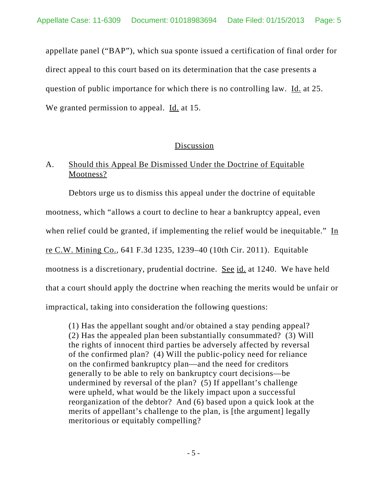appellate panel ("BAP"), which sua sponte issued a certification of final order for direct appeal to this court based on its determination that the case presents a question of public importance for which there is no controlling law. Id. at 25. We granted permission to appeal. Id. at 15.

## Discussion

## A. Should this Appeal Be Dismissed Under the Doctrine of Equitable Mootness?

Debtors urge us to dismiss this appeal under the doctrine of equitable mootness, which "allows a court to decline to hear a bankruptcy appeal, even when relief could be granted, if implementing the relief would be inequitable." In re C.W. Mining Co., 641 F.3d 1235, 1239–40 (10th Cir. 2011). Equitable mootness is a discretionary, prudential doctrine. See id. at 1240. We have held that a court should apply the doctrine when reaching the merits would be unfair or impractical, taking into consideration the following questions:

(1) Has the appellant sought and/or obtained a stay pending appeal? (2) Has the appealed plan been substantially consummated? (3) Will the rights of innocent third parties be adversely affected by reversal of the confirmed plan? (4) Will the public-policy need for reliance on the confirmed bankruptcy plan—and the need for creditors generally to be able to rely on bankruptcy court decisions—be undermined by reversal of the plan? (5) If appellant's challenge were upheld, what would be the likely impact upon a successful reorganization of the debtor? And (6) based upon a quick look at the merits of appellant's challenge to the plan, is [the argument] legally meritorious or equitably compelling?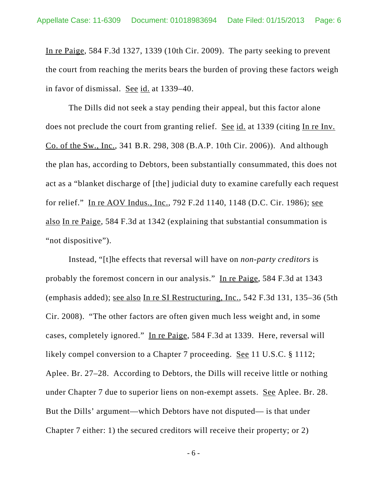In re Paige, 584 F.3d 1327, 1339 (10th Cir. 2009). The party seeking to prevent the court from reaching the merits bears the burden of proving these factors weigh in favor of dismissal. See id. at 1339–40.

The Dills did not seek a stay pending their appeal, but this factor alone does not preclude the court from granting relief. See id. at 1339 (citing In re Inv. Co. of the Sw., Inc., 341 B.R. 298, 308 (B.A.P. 10th Cir. 2006)). And although the plan has, according to Debtors, been substantially consummated, this does not act as a "blanket discharge of [the] judicial duty to examine carefully each request for relief." In re AOV Indus., Inc., 792 F.2d 1140, 1148 (D.C. Cir. 1986); see also In re Paige, 584 F.3d at 1342 (explaining that substantial consummation is "not dispositive").

Instead, "[t]he effects that reversal will have on *non-party creditors* is probably the foremost concern in our analysis." In re Paige, 584 F.3d at 1343 (emphasis added); see also In re SI Restructuring, Inc., 542 F.3d 131, 135–36 (5th Cir. 2008). "The other factors are often given much less weight and, in some cases, completely ignored." In re Paige, 584 F.3d at 1339. Here, reversal will likely compel conversion to a Chapter 7 proceeding. See 11 U.S.C. § 1112; Aplee. Br. 27–28. According to Debtors, the Dills will receive little or nothing under Chapter 7 due to superior liens on non-exempt assets. See Aplee. Br. 28. But the Dills' argument—which Debtors have not disputed— is that under Chapter 7 either: 1) the secured creditors will receive their property; or 2)

- 6 -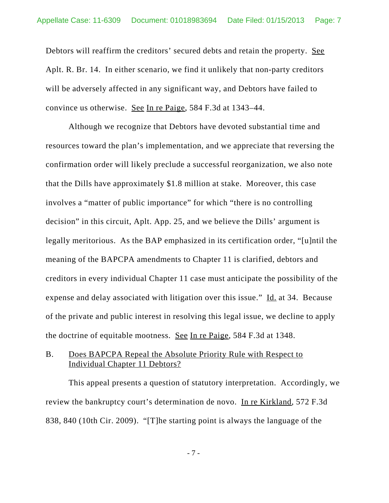Debtors will reaffirm the creditors' secured debts and retain the property. See Aplt. R. Br. 14. In either scenario, we find it unlikely that non-party creditors will be adversely affected in any significant way, and Debtors have failed to convince us otherwise. See In re Paige, 584 F.3d at 1343–44.

Although we recognize that Debtors have devoted substantial time and resources toward the plan's implementation, and we appreciate that reversing the confirmation order will likely preclude a successful reorganization, we also note that the Dills have approximately \$1.8 million at stake. Moreover, this case involves a "matter of public importance" for which "there is no controlling decision" in this circuit, Aplt. App. 25, and we believe the Dills' argument is legally meritorious. As the BAP emphasized in its certification order, "[u]ntil the meaning of the BAPCPA amendments to Chapter 11 is clarified, debtors and creditors in every individual Chapter 11 case must anticipate the possibility of the expense and delay associated with litigation over this issue." Id. at 34. Because of the private and public interest in resolving this legal issue, we decline to apply the doctrine of equitable mootness. See In re Paige, 584 F.3d at 1348.

## B. Does BAPCPA Repeal the Absolute Priority Rule with Respect to Individual Chapter 11 Debtors?

This appeal presents a question of statutory interpretation. Accordingly, we review the bankruptcy court's determination de novo. In re Kirkland, 572 F.3d 838, 840 (10th Cir. 2009). "[T]he starting point is always the language of the

- 7 -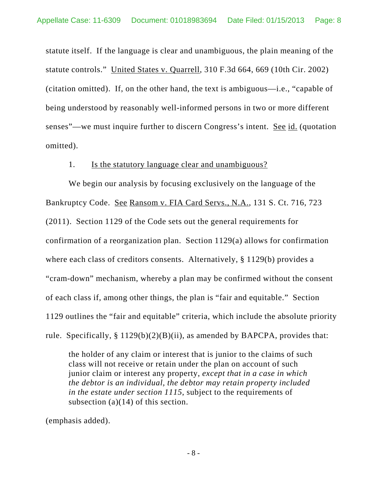statute itself. If the language is clear and unambiguous, the plain meaning of the statute controls." United States v. Quarrell, 310 F.3d 664, 669 (10th Cir. 2002) (citation omitted). If, on the other hand, the text is ambiguous—i.e., "capable of being understood by reasonably well-informed persons in two or more different senses"—we must inquire further to discern Congress's intent. See id. (quotation omitted).

#### 1. Is the statutory language clear and unambiguous?

We begin our analysis by focusing exclusively on the language of the Bankruptcy Code. See Ransom v. FIA Card Servs., N.A., 131 S. Ct. 716, 723 (2011). Section 1129 of the Code sets out the general requirements for confirmation of a reorganization plan. Section 1129(a) allows for confirmation where each class of creditors consents. Alternatively, § 1129(b) provides a "cram-down" mechanism, whereby a plan may be confirmed without the consent of each class if, among other things, the plan is "fair and equitable." Section 1129 outlines the "fair and equitable" criteria, which include the absolute priority rule. Specifically,  $\S 1129(b)(2)(B)(ii)$ , as amended by BAPCPA, provides that:

the holder of any claim or interest that is junior to the claims of such class will not receive or retain under the plan on account of such junior claim or interest any property, *except that in a case in which the debtor is an individual, the debtor may retain property included in the estate under section 1115*, subject to the requirements of subsection (a)(14) of this section.

(emphasis added).

- 8 -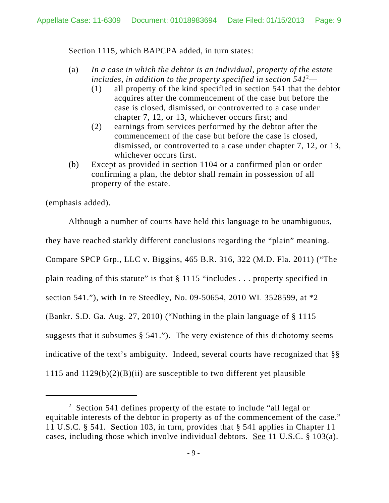Section 1115, which BAPCPA added, in turn states:

- (a) *In a case in which the debtor is an individual, property of the estate includes, in addition to the property specified in section 541*<sup>2</sup> —
	- (1) all property of the kind specified in section 541 that the debtor acquires after the commencement of the case but before the case is closed, dismissed, or controverted to a case under chapter 7, 12, or 13, whichever occurs first; and
	- (2) earnings from services performed by the debtor after the commencement of the case but before the case is closed, dismissed, or controverted to a case under chapter 7, 12, or 13, whichever occurs first.
- (b) Except as provided in section 1104 or a confirmed plan or order confirming a plan, the debtor shall remain in possession of all property of the estate.

(emphasis added).

Although a number of courts have held this language to be unambiguous, they have reached starkly different conclusions regarding the "plain" meaning. Compare SPCP Grp., LLC v. Biggins, 465 B.R. 316, 322 (M.D. Fla. 2011) ("The plain reading of this statute" is that § 1115 "includes . . . property specified in section 541."), with In re Steedley, No. 09-50654, 2010 WL 3528599, at \*2 (Bankr. S.D. Ga. Aug. 27, 2010) ("Nothing in the plain language of § 1115 suggests that it subsumes § 541."). The very existence of this dichotomy seems indicative of the text's ambiguity. Indeed, several courts have recognized that §§ 1115 and  $1129(b)(2)(B)(ii)$  are susceptible to two different yet plausible

 $2^2$  Section 541 defines property of the estate to include "all legal or equitable interests of the debtor in property as of the commencement of the case." 11 U.S.C. § 541. Section 103, in turn, provides that § 541 applies in Chapter 11 cases, including those which involve individual debtors. See 11 U.S.C. § 103(a).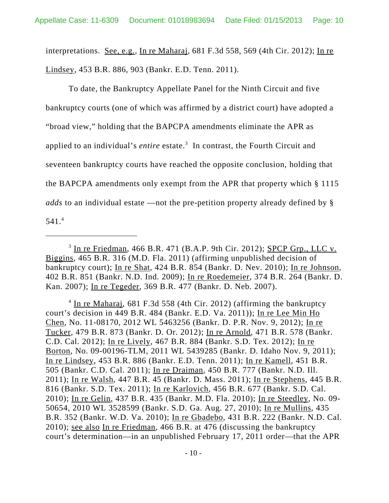interpretations. See, e.g., In re Maharaj, 681 F.3d 558, 569 (4th Cir. 2012); In re Lindsey, 453 B.R. 886, 903 (Bankr. E.D. Tenn. 2011).

To date, the Bankruptcy Appellate Panel for the Ninth Circuit and five bankruptcy courts (one of which was affirmed by a district court) have adopted a "broad view," holding that the BAPCPA amendments eliminate the APR as applied to an individual's *entire* estate.<sup>3</sup> In contrast, the Fourth Circuit and seventeen bankruptcy courts have reached the opposite conclusion, holding that the BAPCPA amendments only exempt from the APR that property which § 1115 *adds* to an individual estate —not the pre-petition property already defined by § 541.4

<sup>4</sup> In re Maharaj, 681 F.3d 558 (4th Cir. 2012) (affirming the bankruptcy court's decision in 449 B.R. 484 (Bankr. E.D. Va. 2011)); In re Lee Min Ho Chen, No. 11-08170, 2012 WL 5463256 (Bankr. D. P.R. Nov. 9, 2012); In re Tucker, 479 B.R. 873 (Bankr. D. Or. 2012); In re Arnold, 471 B.R. 578 (Bankr. C.D. Cal. 2012); In re Lively, 467 B.R. 884 (Bankr. S.D. Tex. 2012); In re Borton, No. 09-00196-TLM, 2011 WL 5439285 (Bankr. D. Idaho Nov. 9, 2011); In re Lindsey, 453 B.R. 886 (Bankr. E.D. Tenn. 2011); In re Kamell, 451 B.R. 505 (Bankr. C.D. Cal. 2011); In re Draiman, 450 B.R. 777 (Bankr. N.D. Ill. 2011); In re Walsh, 447 B.R. 45 (Bankr. D. Mass. 2011); In re Stephens, 445 B.R. 816 (Bankr. S.D. Tex. 2011); In re Karlovich, 456 B.R. 677 (Bankr. S.D. Cal. 2010); In re Gelin, 437 B.R. 435 (Bankr. M.D. Fla. 2010); In re Steedley, No. 09- 50654, 2010 WL 3528599 (Bankr. S.D. Ga. Aug. 27, 2010); In re Mullins, 435 B.R. 352 (Bankr. W.D. Va. 2010); In re Gbadebo, 431 B.R. 222 (Bankr. N.D. Cal. 2010); see also In re Friedman, 466 B.R. at 476 (discussing the bankruptcy court's determination—in an unpublished February 17, 2011 order—that the APR

 $3 \text{ In }$  re Friedman, 466 B.R. 471 (B.A.P. 9th Cir. 2012); SPCP Grp., LLC v. Biggins, 465 B.R. 316 (M.D. Fla. 2011) (affirming unpublished decision of bankruptcy court); In re Shat, 424 B.R. 854 (Bankr. D. Nev. 2010); In re Johnson, 402 B.R. 851 (Bankr. N.D. Ind. 2009); In re Roedemeier, 374 B.R. 264 (Bankr. D. Kan. 2007); In re Tegeder, 369 B.R. 477 (Bankr. D. Neb. 2007).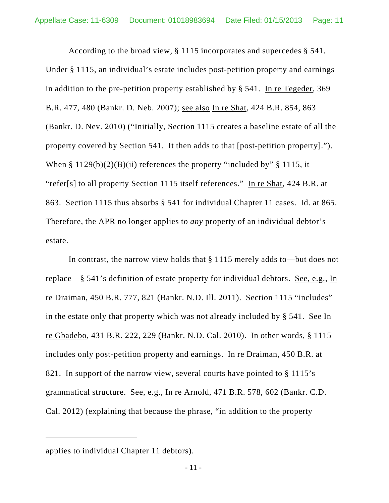According to the broad view, § 1115 incorporates and supercedes § 541. Under § 1115, an individual's estate includes post-petition property and earnings in addition to the pre-petition property established by § 541. In re Tegeder, 369 B.R. 477, 480 (Bankr. D. Neb. 2007); see also In re Shat, 424 B.R. 854, 863 (Bankr. D. Nev. 2010) ("Initially, Section 1115 creates a baseline estate of all the property covered by Section 541. It then adds to that [post-petition property]."). When  $\S 1129(b)(2)(B)(ii)$  references the property "included by"  $\S 1115$ , it "refer[s] to all property Section 1115 itself references." In re Shat, 424 B.R. at 863. Section 1115 thus absorbs § 541 for individual Chapter 11 cases. Id. at 865. Therefore, the APR no longer applies to *any* property of an individual debtor's estate.

In contrast, the narrow view holds that § 1115 merely adds to—but does not replace—§ 541's definition of estate property for individual debtors. <u>See, e.g.</u>, In re Draiman, 450 B.R. 777, 821 (Bankr. N.D. Ill. 2011). Section 1115 "includes" in the estate only that property which was not already included by § 541. See In re Gbadebo, 431 B.R. 222, 229 (Bankr. N.D. Cal. 2010). In other words, § 1115 includes only post-petition property and earnings. In re Draiman, 450 B.R. at 821. In support of the narrow view, several courts have pointed to § 1115's grammatical structure. See, e.g., In re Arnold, 471 B.R. 578, 602 (Bankr. C.D. Cal. 2012) (explaining that because the phrase, "in addition to the property

applies to individual Chapter 11 debtors).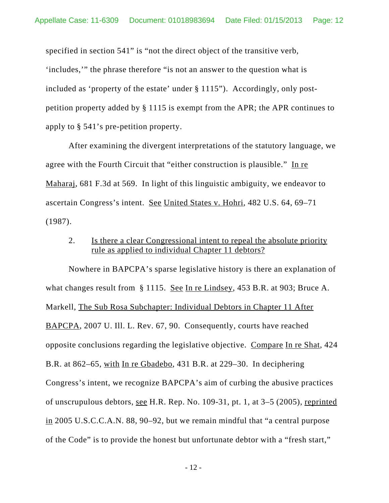specified in section 541" is "not the direct object of the transitive verb, 'includes,'" the phrase therefore "is not an answer to the question what is included as 'property of the estate' under § 1115"). Accordingly, only postpetition property added by § 1115 is exempt from the APR; the APR continues to apply to § 541's pre-petition property.

After examining the divergent interpretations of the statutory language, we agree with the Fourth Circuit that "either construction is plausible." In re Maharaj, 681 F.3d at 569. In light of this linguistic ambiguity, we endeavor to ascertain Congress's intent. See United States v. Hohri, 482 U.S. 64, 69–71 (1987).

2. Is there a clear Congressional intent to repeal the absolute priority rule as applied to individual Chapter 11 debtors?

Nowhere in BAPCPA's sparse legislative history is there an explanation of what changes result from § 1115. See In re Lindsey, 453 B.R. at 903; Bruce A. Markell, The Sub Rosa Subchapter: Individual Debtors in Chapter 11 After BAPCPA, 2007 U. Ill. L. Rev. 67, 90. Consequently, courts have reached opposite conclusions regarding the legislative objective. Compare In re Shat, 424 B.R. at 862–65, with In re Gbadebo, 431 B.R. at 229–30. In deciphering Congress's intent, we recognize BAPCPA's aim of curbing the abusive practices of unscrupulous debtors, see H.R. Rep. No. 109-31, pt. 1, at 3–5 (2005), reprinted in 2005 U.S.C.C.A.N. 88, 90–92, but we remain mindful that "a central purpose of the Code" is to provide the honest but unfortunate debtor with a "fresh start,"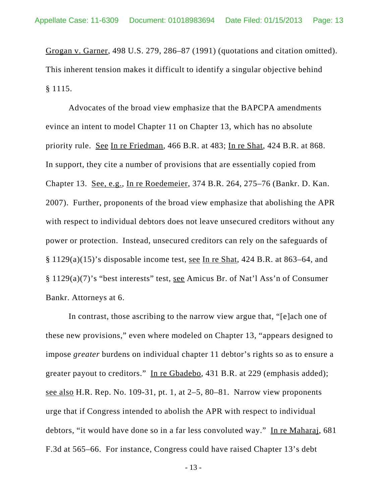Grogan v. Garner, 498 U.S. 279, 286–87 (1991) (quotations and citation omitted). This inherent tension makes it difficult to identify a singular objective behind § 1115.

Advocates of the broad view emphasize that the BAPCPA amendments evince an intent to model Chapter 11 on Chapter 13, which has no absolute priority rule. See In re Friedman, 466 B.R. at 483; In re Shat, 424 B.R. at 868. In support, they cite a number of provisions that are essentially copied from Chapter 13. See, e.g., In re Roedemeier, 374 B.R. 264, 275–76 (Bankr. D. Kan. 2007). Further, proponents of the broad view emphasize that abolishing the APR with respect to individual debtors does not leave unsecured creditors without any power or protection. Instead, unsecured creditors can rely on the safeguards of § 1129(a)(15)'s disposable income test, see In re Shat, 424 B.R. at 863–64, and § 1129(a)(7)'s "best interests" test, see Amicus Br. of Nat'l Ass'n of Consumer Bankr. Attorneys at 6.

In contrast, those ascribing to the narrow view argue that, "[e]ach one of these new provisions," even where modeled on Chapter 13, "appears designed to impose *greater* burdens on individual chapter 11 debtor's rights so as to ensure a greater payout to creditors." In re Gbadebo, 431 B.R. at 229 (emphasis added); see also H.R. Rep. No. 109-31, pt. 1, at  $2-5$ , 80-81. Narrow view proponents urge that if Congress intended to abolish the APR with respect to individual debtors, "it would have done so in a far less convoluted way." In re Maharaj, 681 F.3d at 565–66. For instance, Congress could have raised Chapter 13's debt

- 13 -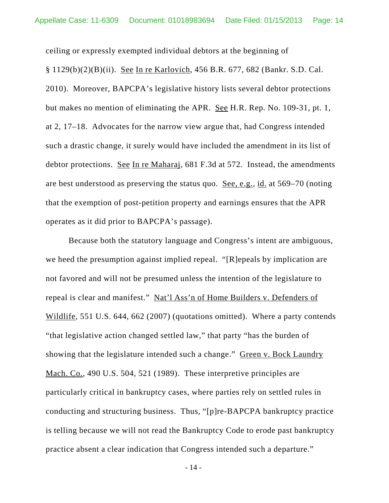ceiling or expressly exempted individual debtors at the beginning of § 1129(b)(2)(B)(ii). See In re Karlovich, 456 B.R. 677, 682 (Bankr. S.D. Cal. 2010). Moreover, BAPCPA's legislative history lists several debtor protections but makes no mention of eliminating the APR. <u>See</u> H.R. Rep. No. 109-31, pt. 1, at 2, 17–18. Advocates for the narrow view argue that, had Congress intended such a drastic change, it surely would have included the amendment in its list of debtor protections. See In re Maharaj, 681 F.3d at 572. Instead, the amendments are best understood as preserving the status quo. See, e.g., id. at 569–70 (noting that the exemption of post-petition property and earnings ensures that the APR

operates as it did prior to BAPCPA's passage).

Because both the statutory language and Congress's intent are ambiguous, we heed the presumption against implied repeal. "[R]epeals by implication are not favored and will not be presumed unless the intention of the legislature to repeal is clear and manifest." Nat'l Ass'n of Home Builders v. Defenders of Wildlife, 551 U.S. 644, 662 (2007) (quotations omitted). Where a party contends "that legislative action changed settled law," that party "has the burden of showing that the legislature intended such a change." Green v. Bock Laundry Mach. Co., 490 U.S. 504, 521 (1989). These interpretive principles are particularly critical in bankruptcy cases, where parties rely on settled rules in conducting and structuring business. Thus, "[p]re-BAPCPA bankruptcy practice is telling because we will not read the Bankruptcy Code to erode past bankruptcy practice absent a clear indication that Congress intended such a departure."